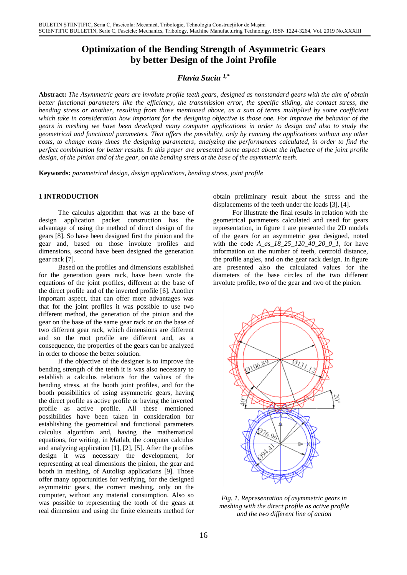# **Optimization of the Bending Strength of Asymmetric Gears by better Design of the Joint Profile**

## *Flavia Suciu 1,\**

**Abstract:** *The Asymmetric gears are involute profile teeth gears, designed as nonstandard gears with the aim of obtain better functional parameters like the efficiency, the transmission error, the specific sliding, the contact stress, the bending stress or another, resulting from those mentioned above, as a sum of terms multiplied by some coefficient which take in consideration how important for the designing objective is those one. For improve the behavior of the gears in meshing we have been developed many computer applications in order to design and also to study the geometrical and functional parameters. That offers the possibility, only by running the applications without any other costs, to change many times the designing parameters, analyzing the performances calculated, in order to find the perfect combination for better results. In this paper are presented some aspect about the influence of the joint profile design, of the pinion and of the gear, on the bending stress at the base of the asymmetric teeth.* 

**Keywords:** *parametrical design, design applications, bending stress, joint profile*

The calculus algorithm that was at the base of design application packet construction has the advantage of using the method of direct design of the gears [8]. So have been designed first the pinion and the gear and, based on those involute profiles and dimensions, second have been designed the generation gear rack [7].

Based on the profiles and dimensions established for the generation gears rack, have been wrote the equations of the joint profiles, different at the base of the direct profile and of the inverted profile [6]. Another important aspect, that can offer more advantages was that for the joint profiles it was possible to use two different method, the generation of the pinion and the gear on the base of the same gear rack or on the base of two different gear rack, which dimensions are different and so the root profile are different and, as a consequence, the properties of the gears can be analyzed in order to choose the better solution.

If the objective of the designer is to improve the bending strength of the teeth it is was also necessary to establish a calculus relations for the values of the bending stress, at the booth joint profiles, and for the booth possibilities of using asymmetric gears, having the direct profile as active profile or having the inverted profile as active profile. All these mentioned possibilities have been taken in consideration for establishing the geometrical and functional parameters calculus algorithm and, having the mathematical equations, for writing, in Matlab, the computer calculus and analyzing application [1], [2], [5]. After the profiles design it was necessary the development, for representing at real dimensions the pinion, the gear and booth in meshing, of Autolisp applications [9]. Those offer many opportunities for verifying, for the designed asymmetric gears, the correct meshing, only on the computer, without any material consumption. Also so was possible to representing the tooth of the gears at real dimension and using the finite elements method for

**1 INTRODUCTION** obtain preliminary result about the stress and the displacements of the teeth under the loads [3], [4].

> For illustrate the final results in relation with the geometrical parameters calculated and used for gears representation, in figure 1 are presented the 2D models of the gears for an asymmetric gear designed, noted with the code *A\_as\_18\_25\_120\_40\_20\_0\_1,* for have information on the number of teeth, centroid distance, the profile angles, and on the gear rack design. In figure are presented also the calculated values for the diameters of the base circles of the two different involute profile, two of the gear and two of the pinion.



*Fig. 1. Representation of asymmetric gears in meshing with the direct profile as active profile and the two different line of action*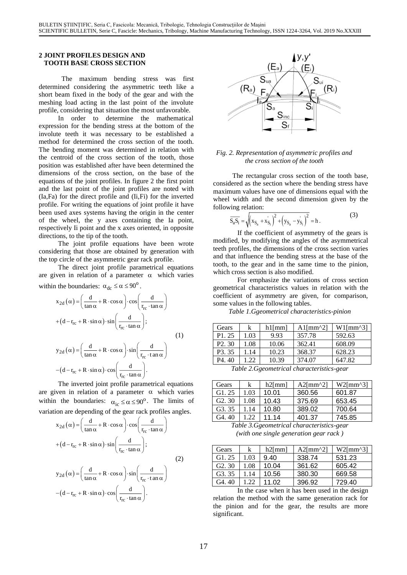#### **2 JOINT PROFILES DESIGN AND TOOTH BASE CROSS SECTION**

 The maximum bending stress was first determined considering the asymmetric teeth like a short beam fixed in the body of the gear and with the meshing load acting in the last point of the involute profile, considering that situation the most unfavorable.

In order to determine the mathematical expression for the bending stress at the bottom of the involute teeth it was necessary to be established a method for determined the cross section of the tooth. The bending moment was determined in relation with the centroid of the cross section of the tooth, those position was established after have been determined the dimensions of the cross section, on the base of the equations of the joint profiles. In figure 2 the first point and the last point of the joint profiles are noted with (Ia,Fa) for the direct profile and (Ii,Fi) for the inverted profile. For writing the equations of joint profile it have been used axes systems having the origin in the center of the wheel, the y axes containing the Ia point, respectively Ii point and the x axes oriented, in opposite directions, to the tip of the tooth.

The joint profile equations have been wrote considering that those are obtained by generation with the top circle of the asymmetric gear rack profile.

The direct joint profile parametrical equations are given in relation of a parameter  $\alpha$  which varies within the boundaries:  $\alpha_{dc} \le \alpha \le 90^{\circ}$ .

$$
x_{2d}(\alpha) = \left(\frac{d}{\tan \alpha} + R \cdot \cos \alpha\right) \cdot \cos\left(\frac{d}{r_{rc} \cdot \tan \alpha}\right)
$$
  
+ 
$$
(d - r_{rc} + R \cdot \sin \alpha) \cdot \sin\left(\frac{d}{r_{rc} \cdot \tan \alpha}\right);
$$
  

$$
y_{2d}(\alpha) = \left(\frac{d}{\tan \alpha} + R \cdot \cos \alpha\right) \cdot \sin\left(\frac{d}{r_{rc} \cdot \tan \alpha}\right)
$$
  
- 
$$
(d - r_{rc} + R \cdot \sin \alpha) \cdot \cos\left(\frac{d}{r_{rc} \cdot \tan \alpha}\right).
$$
 (1)

The inverted joint profile parametrical equations are given in relation of a parameter  $\alpha$  which varies within the boundaries:  $\alpha_{\rm ic} \le \alpha \le 90^{\circ}$ . The limits of variation are depending of the gear rack profiles angles.

$$
x_{2d}(\alpha) = \left(\frac{d}{\tan \alpha} + R \cdot \cos \alpha\right) \cdot \cos\left(\frac{d}{r_{rc} \cdot \tan \alpha}\right)
$$
  
+  $(d - r_{rc} + R \cdot \sin \alpha) \cdot \sin\left(\frac{d}{r_{rc} \cdot \tan \alpha}\right);$   

$$
y_{2d}(\alpha) = \left(\frac{d}{\tan \alpha} + R \cdot \cos \alpha\right) \cdot \sin\left(\frac{d}{r_{rc} \cdot \tan \alpha}\right)
$$
  
-  $(d - r_{rc} + R \cdot \sin \alpha) \cdot \cos\left(\frac{d}{r_{rc} \cdot \tan \alpha}\right).$  (2)



*Fig. 2. Representation of asymmetric profiles and the cross section of the tooth*

The rectangular cross section of the tooth base, considered as the section where the bending stress have maximum values have one of dimensions equal with the wheel width and the second dimension given by the following relation:

$$
\overline{S_a S_i} = \sqrt{(x_{S_a} + x_{S_i})^2 + (y_{S_a} - y_{S_i})^2} = h.
$$
 (3)

If the coefficient of asymmetry of the gears is modified, by modifying the angles of the asymmetrical teeth profiles, the dimensions of the cross section varies and that influence the bending stress at the base of the tooth, to the gear and in the same time to the pinion, which cross section is also modified.

For emphasize the variations of cross section geometrical characteristics values in relation with the coefficient of asymmetry are given, for comparison, some values in the following tables.

*Table 1.Ggeometrical characteristics-pinion*

| Gears               | k    | $h1$ [mm] | $Al/mm^2$ | $W1$ [mm^3] |
|---------------------|------|-----------|-----------|-------------|
| P <sub>1</sub> 25   | 1.03 | 9.93      | 357.78    | 592.63      |
| P <sub>2</sub> 30   | 1.08 | 10.06     | 362.41    | 608.09      |
| P <sub>3</sub> . 35 | 1.14 | 10.23     | 368.37    | 628.23      |
| P <sub>4</sub> .40  | 1.22 | 10.39     | 374.07    | 647.82      |

*Table 2.Ggeometrical characteristics-gear* 

| Gears               | k             | $h2$ [mm] | $A2$ [mm^2] | $W2$ [mm^3] |
|---------------------|---------------|-----------|-------------|-------------|
| G1.25               | 1.03          | 10.01     | 360.56      | 601.87      |
| G2.30               | 1.08          | 10.43     | 375.69      | 653.45      |
| G <sub>3</sub> . 35 | 1.14          | 10.80     | 389.02      | 700.64      |
| $G4$ . 40           | $\mathcal{D}$ | 11 14     | 401.37      | 745.85      |

*Table 3.Ggeometrical characteristics-gear (with one single generation gear rack )*

| Gears     | k    | $h2$ [mm] | $A2$ [mm^2] | $W2$ [mm^3] |
|-----------|------|-----------|-------------|-------------|
| G1.25     | 1.03 | 9.40      | 338.74      | 531.23      |
| G2.30     | 1.08 | 10.04     | 361.62      | 605.42      |
| G3.35     | 1.14 | 10.56     | 380.30      | 669.58      |
| $G4$ . 40 |      | 11.02     | 396.92      | 729.40      |

In the case when it has been used in the design relation the method with the same generation rack for the pinion and for the gear, the results are more significant.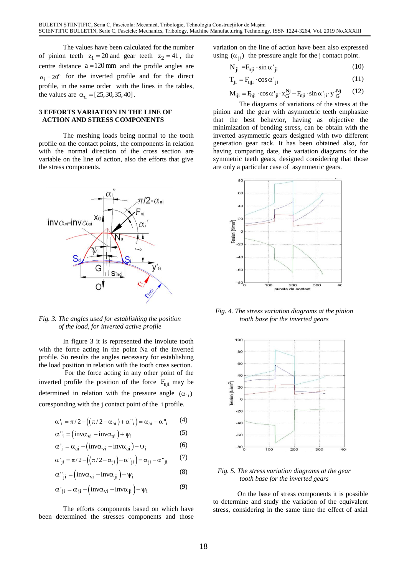The values have been calculated for the number of pinion teeth  $z_1 = 20$  and gear teeth  $z_2 = 41$ , the centre distance  $a = 120$  mm and the profile angles are  $\alpha_i = 20^\circ$  for the inverted profile and for the direct profile, in the same order with the lines in the tables, the values are  $\alpha_d = [25, 30, 35, 40]$ .

#### **3 EFFORTS VARIATION IN THE LINE OF ACTION AND STRESS COMPONENTS**

The meshing loads being normal to the tooth profile on the contact points, the components in relation with the normal direction of the cross section are variable on the line of action, also the efforts that give the stress components.



*Fig. 3. The angles used for establishing the position tooth base for the inverted gears of the load, for inverted active profile*

In figure 3 it is represented the involute tooth with the force acting in the point Na of the inverted profile. So results the angles necessary for establishing the load position in relation with the tooth cross section.

For the force acting in any other point of the inverted profile the position of the force  $F_{nji}$  may be determined in relation with the pressure angle  $(\alpha_{ji})$ coresponding with the j contact point of the i profile.

$$
\alpha^{\scriptscriptstyle\top}{}_{i}=\pi/2-\bigl(\bigl(\pi/2-\alpha^{\scriptscriptstyle\top}{}_{ai}\bigr)+\alpha^{\scriptscriptstyle\top}{}_{i}\bigr)=\alpha^{\scriptscriptstyle\top}{}_{ai}-\alpha^{\scriptscriptstyle\top}{}_{i}\qquad \, (4)
$$

$$
\alpha_{i}^{\prime\prime} = (inv\alpha_{vi} - inv\alpha_{ai}) + \psi_{i}
$$
 (5)

$$
\alpha'_{i} = \alpha_{ai} - (inv\alpha_{vi} - inv\alpha_{ai}) - \psi_{i}
$$
 (6)

$$
\alpha^{\centerdot}_{\phantom{i}ji}=\pi/2-\Big(\Big(\pi/2\!-\!\alpha^{\centerdot}_{\phantom{ji}ji}\Big)+\alpha^{\centerdot}_{\phantom{ji}ji}\Big)=\alpha^{\centerdot}_{\phantom{ji}ji}-\alpha^{\centerdot}_{\phantom{ji}ji}\qquad(7)
$$

$$
\alpha^{"}{}_{ji} = (inv\alpha_{vi} - inv\alpha_{ji}) + \psi_i
$$
\n(8)

$$
\alpha'_{ji} = \alpha_{ji} - (inv\alpha_{vi} - inv\alpha_{ji}) - \psi_i
$$
\n(9)

been determined the stresses components and those

variation on the line of action have been also expressed using  $(\alpha_{ji})$  the pressure angle for the j contact point.

$$
N_{ji} = F_{nji} \cdot \sin \alpha'_{ji}
$$
 (10)

$$
T_{ji} = F_{nji} \cdot \cos \alpha'_{ji}
$$
 (11)

$$
\mathbf{M}_{iji} = \mathbf{F}_{nji} \cdot \cos \alpha'_{ji} \cdot \mathbf{x}_G^{Nj} - \mathbf{F}_{nji} \cdot \sin \alpha'_{ji} \cdot \mathbf{y}_G^{Nj}
$$
(12)

The diagrams of variations of the stress at the pinion and the gear with asymmetric teeth emphasize that the best behavior, having as objective the minimization of bending stress, can be obtain with the inverted asymmetric gears designed with two different generation gear rack. It has been obtained also, for having comparing date, the variation diagrams for the symmetric teeth gears, designed considering that those are only a particular case of asymmetric gears.



*Fig. 4. The stress variation diagrams at the pinion* 



### *Fig. 5. The stress variation diagrams at the gear tooth base for the inverted gears*

On the base of stress components it is possible to determine and study the variation of the equivalent The efforts components based on which have stress, considering in the same time the effect of axial